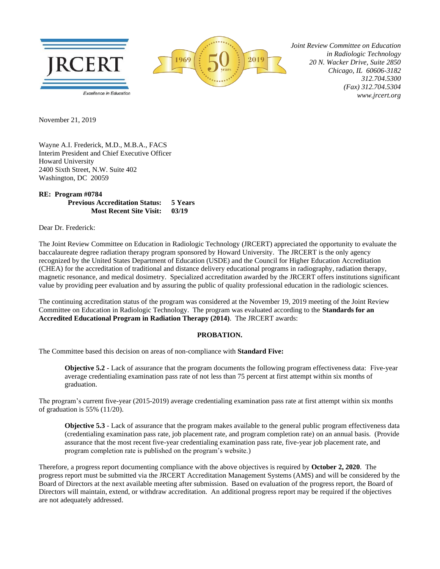



 *Joint Review Committee on Education in Radiologic Technology 20 N. Wacker Drive, Suite 2850 Chicago, IL 60606-3182 312.704.5300 (Fax) 312.704.5304 www.jrcert.org*

November 21, 2019

Wayne A.I. Frederick, M.D., M.B.A., FACS Interim President and Chief Executive Officer Howard University 2400 Sixth Street, N.W. Suite 402 Washington, DC 20059

## **RE: Program #0784 Previous Accreditation Status: 5 Years Most Recent Site Visit: 03/19**

Dear Dr. Frederick:

The Joint Review Committee on Education in Radiologic Technology (JRCERT) appreciated the opportunity to evaluate the baccalaureate degree radiation therapy program sponsored by Howard University. The JRCERT is the only agency recognized by the United States Department of Education (USDE) and the Council for Higher Education Accreditation (CHEA) for the accreditation of traditional and distance delivery educational programs in radiography, radiation therapy, magnetic resonance, and medical dosimetry. Specialized accreditation awarded by the JRCERT offers institutions significant value by providing peer evaluation and by assuring the public of quality professional education in the radiologic sciences.

The continuing accreditation status of the program was considered at the November 19, 2019 meeting of the Joint Review Committee on Education in Radiologic Technology. The program was evaluated according to the **Standards for an Accredited Educational Program in Radiation Therapy (2014)**. The JRCERT awards:

## **PROBATION.**

The Committee based this decision on areas of non-compliance with **Standard Five:**

**Objective 5.2** - Lack of assurance that the program documents the following program effectiveness data: Five-year average credentialing examination pass rate of not less than 75 percent at first attempt within six months of graduation.

The program's current five-year (2015-2019) average credentialing examination pass rate at first attempt within six months of graduation is 55% (11/20).

**Objective 5.3** - Lack of assurance that the program makes available to the general public program effectiveness data (credentialing examination pass rate, job placement rate, and program completion rate) on an annual basis. (Provide assurance that the most recent five-year credentialing examination pass rate, five-year job placement rate, and program completion rate is published on the program's website.)

Therefore, a progress report documenting compliance with the above objectives is required by **October 2, 2020**. The progress report must be submitted via the JRCERT Accreditation Management Systems (AMS) and will be considered by the Board of Directors at the next available meeting after submission. Based on evaluation of the progress report, the Board of Directors will maintain, extend, or withdraw accreditation. An additional progress report may be required if the objectives are not adequately addressed.